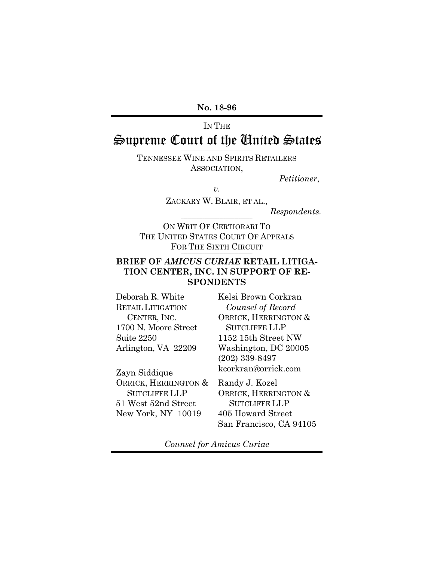**No. 18-96**

# IN THE Supreme Court of the United States

TENNESSEE WINE AND SPIRITS RETAILERS ASSOCIATION,

*Petitioner*,

*v.*

ZACKARY W. BLAIR, ET AL.,

*Respondents.*

ON WRIT OF CERTIORARI TO THE UNITED STATES COURT OF APPEALS FOR THE SIXTH CIRCUIT

#### **BRIEF OF** *AMICUS CURIAE* **RETAIL LITIGA-TION CENTER, INC. IN SUPPORT OF RE-SPONDENTS**  $\mathcal{L}_\text{max}$  and the contribution of the contribution of the contribution of the contribution of the contribution of

 $\mathcal{L}_\mathcal{L} = \mathcal{L}_\mathcal{L} = \mathcal{L}_\mathcal{L} = \mathcal{L}_\mathcal{L} = \mathcal{L}_\mathcal{L} = \mathcal{L}_\mathcal{L} = \mathcal{L}_\mathcal{L} = \mathcal{L}_\mathcal{L} = \mathcal{L}_\mathcal{L} = \mathcal{L}_\mathcal{L} = \mathcal{L}_\mathcal{L} = \mathcal{L}_\mathcal{L} = \mathcal{L}_\mathcal{L} = \mathcal{L}_\mathcal{L} = \mathcal{L}_\mathcal{L} = \mathcal{L}_\mathcal{L} = \mathcal{L}_\mathcal{L}$ 

| CENTER, INC. | Deborah R. White         |
|--------------|--------------------------|
|              | <b>RETAIL LITIGATION</b> |
|              |                          |
|              | 1700 N. Moore Street     |
|              | Suite 2250               |
|              | Arlington, VA 22209      |

Zayn Siddique ORRICK, HERRINGTON & SUTCLIFFE LLP 51 West 52nd Street New York, NY 10019

Kelsi Brown Corkran *Counsel of Record* ORRICK, HERRINGTON & SUTCLIFFE LLP 1152 15th Street NW Washington, DC 20005 (202) 339-8497 kcorkran@orrick.com

Randy J. Kozel ORRICK, HERRINGTON & SUTCLIFFE LLP 405 Howard Street San Francisco, CA 94105

*Counsel for Amicus Curiae*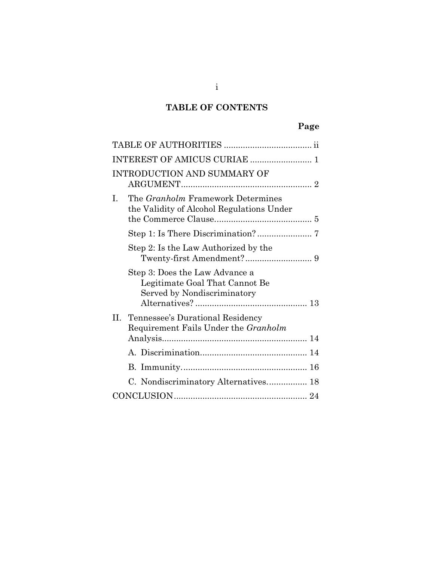## **TABLE OF CONTENTS**

| <b>INTRODUCTION AND SUMMARY OF</b>                                                              |
|-------------------------------------------------------------------------------------------------|
| The Granholm Framework Determines<br>I.<br>the Validity of Alcohol Regulations Under            |
|                                                                                                 |
| Step 2: Is the Law Authorized by the                                                            |
| Step 3: Does the Law Advance a<br>Legitimate Goal That Cannot Be<br>Served by Nondiscriminatory |
| Tennessee's Durational Residency<br>Н.<br>Requirement Fails Under the Granholm                  |
|                                                                                                 |
|                                                                                                 |
|                                                                                                 |
| C. Nondiscriminatory Alternatives 18                                                            |
|                                                                                                 |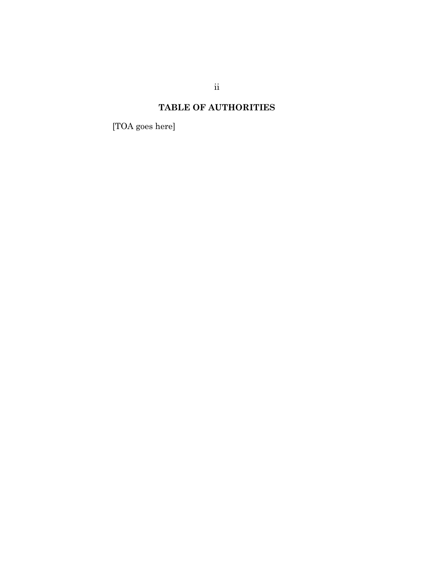# **TABLE OF AUTHORITIES**

<span id="page-2-0"></span>[TOA goes here]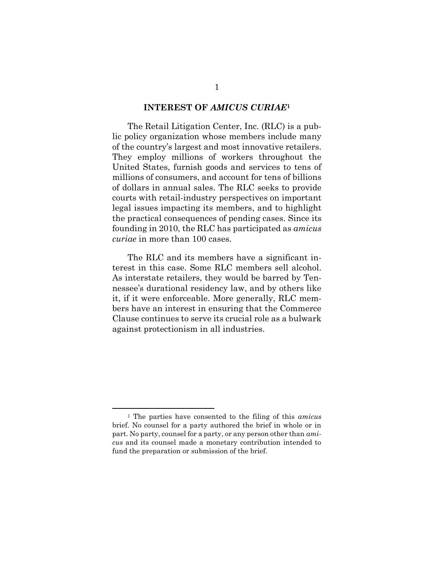#### **INTEREST OF** *AMICUS CURIAE***<sup>1</sup>**

<span id="page-3-0"></span>The Retail Litigation Center, Inc. (RLC) is a public policy organization whose members include many of the country's largest and most innovative retailers. They employ millions of workers throughout the United States, furnish goods and services to tens of millions of consumers, and account for tens of billions of dollars in annual sales. The RLC seeks to provide courts with retail-industry perspectives on important legal issues impacting its members, and to highlight the practical consequences of pending cases. Since its founding in 2010, the RLC has participated as *amicus curiae* in more than 100 cases.

The RLC and its members have a significant interest in this case. Some RLC members sell alcohol. As interstate retailers, they would be barred by Tennessee's durational residency law, and by others like it, if it were enforceable. More generally, RLC members have an interest in ensuring that the Commerce Clause continues to serve its crucial role as a bulwark against protectionism in all industries.

<sup>1</sup> The parties have consented to the filing of this *amicus* brief. No counsel for a party authored the brief in whole or in part. No party, counsel for a party, or any person other than *amicus* and its counsel made a monetary contribution intended to fund the preparation or submission of the brief.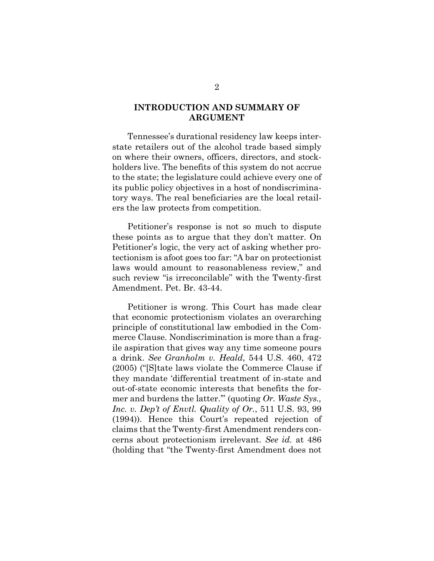## <span id="page-4-0"></span>**INTRODUCTION AND SUMMARY OF ARGUMENT**

Tennessee's durational residency law keeps interstate retailers out of the alcohol trade based simply on where their owners, officers, directors, and stockholders live. The benefits of this system do not accrue to the state; the legislature could achieve every one of its public policy objectives in a host of nondiscriminatory ways. The real beneficiaries are the local retailers the law protects from competition.

Petitioner's response is not so much to dispute these points as to argue that they don't matter. On Petitioner's logic, the very act of asking whether protectionism is afoot goes too far: "A bar on protectionist laws would amount to reasonableness review," and such review "is irreconcilable" with the Twenty-first Amendment. Pet. Br. 43-44.

Petitioner is wrong. This Court has made clear that economic protectionism violates an overarching principle of constitutional law embodied in the Commerce Clause. Nondiscrimination is more than a fragile aspiration that gives way any time someone pours a drink. *See Granholm v. Heald*, 544 U.S. 460, 472 (2005) ("[S]tate laws violate the Commerce Clause if they mandate 'differential treatment of in-state and out-of-state economic interests that benefits the former and burdens the latter.'" (quoting *Or. Waste Sys., Inc. v. Dep't of Envtl. Quality of Or.*, 511 U.S. 93, 99 (1994)). Hence this Court's repeated rejection of claims that the Twenty-first Amendment renders concerns about protectionism irrelevant. *See id.* at 486 (holding that "the Twenty-first Amendment does not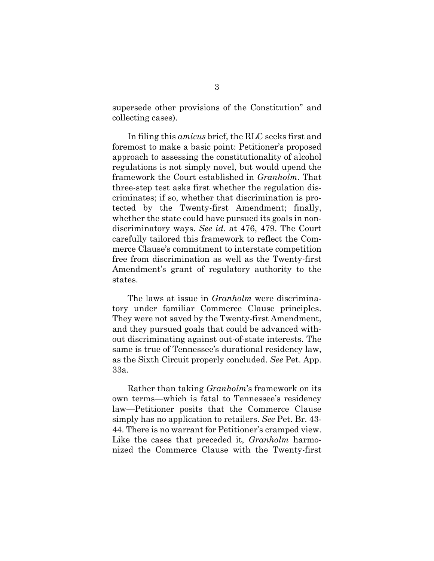supersede other provisions of the Constitution" and collecting cases).

In filing this *amicus* brief, the RLC seeks first and foremost to make a basic point: Petitioner's proposed approach to assessing the constitutionality of alcohol regulations is not simply novel, but would upend the framework the Court established in *Granholm*. That three-step test asks first whether the regulation discriminates; if so, whether that discrimination is protected by the Twenty-first Amendment; finally, whether the state could have pursued its goals in nondiscriminatory ways. *See id.* at 476, 479. The Court carefully tailored this framework to reflect the Commerce Clause's commitment to interstate competition free from discrimination as well as the Twenty-first Amendment's grant of regulatory authority to the states.

The laws at issue in *Granholm* were discriminatory under familiar Commerce Clause principles. They were not saved by the Twenty-first Amendment, and they pursued goals that could be advanced without discriminating against out-of-state interests. The same is true of Tennessee's durational residency law, as the Sixth Circuit properly concluded. *See* Pet. App. 33a.

Rather than taking *Granholm*'s framework on its own terms—which is fatal to Tennessee's residency law—Petitioner posits that the Commerce Clause simply has no application to retailers. *See* Pet. Br. 43- 44. There is no warrant for Petitioner's cramped view. Like the cases that preceded it, *Granholm* harmonized the Commerce Clause with the Twenty-first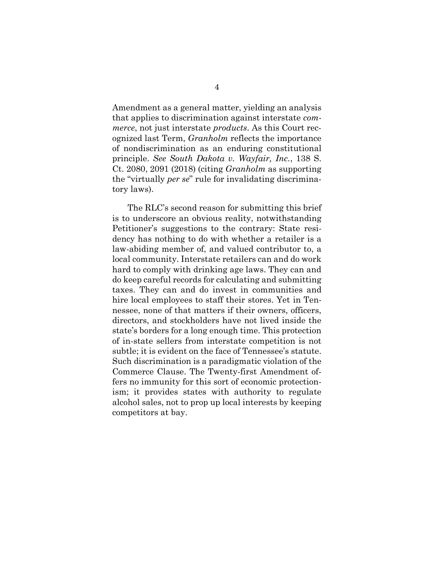Amendment as a general matter, yielding an analysis that applies to discrimination against interstate *commerce*, not just interstate *products*. As this Court recognized last Term, *Granholm* reflects the importance of nondiscrimination as an enduring constitutional principle. *See South Dakota v. Wayfair, Inc.*, 138 S. Ct. 2080, 2091 (2018) (citing *Granholm* as supporting the "virtually *per se*" rule for invalidating discriminatory laws).

The RLC's second reason for submitting this brief is to underscore an obvious reality, notwithstanding Petitioner's suggestions to the contrary: State residency has nothing to do with whether a retailer is a law-abiding member of, and valued contributor to, a local community. Interstate retailers can and do work hard to comply with drinking age laws. They can and do keep careful records for calculating and submitting taxes. They can and do invest in communities and hire local employees to staff their stores. Yet in Tennessee, none of that matters if their owners, officers, directors, and stockholders have not lived inside the state's borders for a long enough time. This protection of in-state sellers from interstate competition is not subtle; it is evident on the face of Tennessee's statute. Such discrimination is a paradigmatic violation of the Commerce Clause. The Twenty-first Amendment offers no immunity for this sort of economic protectionism; it provides states with authority to regulate alcohol sales, not to prop up local interests by keeping competitors at bay.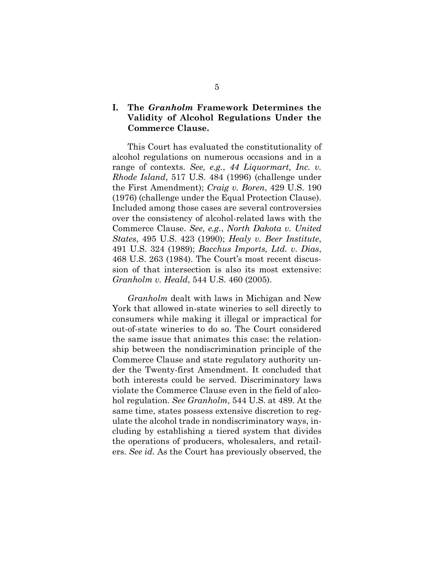## <span id="page-7-0"></span>**I. The** *Granholm* **Framework Determines the Validity of Alcohol Regulations Under the Commerce Clause.**

This Court has evaluated the constitutionality of alcohol regulations on numerous occasions and in a range of contexts. *See, e.g.*, *44 Liquormart, Inc. v. Rhode Island*, 517 U.S. 484 (1996) (challenge under the First Amendment); *Craig v. Boren*, 429 U.S. 190 (1976) (challenge under the Equal Protection Clause). Included among those cases are several controversies over the consistency of alcohol-related laws with the Commerce Clause. *See, e.g.*, *North Dakota v. United States*, 495 U.S. 423 (1990); *Healy v. Beer Institute*, 491 U.S. 324 (1989); *Bacchus Imports, Ltd. v. Dias*, 468 U.S. 263 (1984). The Court's most recent discussion of that intersection is also its most extensive: *Granholm v. Heald*, 544 U.S. 460 (2005).

*Granholm* dealt with laws in Michigan and New York that allowed in-state wineries to sell directly to consumers while making it illegal or impractical for out-of-state wineries to do so. The Court considered the same issue that animates this case: the relationship between the nondiscrimination principle of the Commerce Clause and state regulatory authority under the Twenty-first Amendment. It concluded that both interests could be served. Discriminatory laws violate the Commerce Clause even in the field of alcohol regulation. *See Granholm*, 544 U.S. at 489. At the same time, states possess extensive discretion to regulate the alcohol trade in nondiscriminatory ways, including by establishing a tiered system that divides the operations of producers, wholesalers, and retailers. *See id.* As the Court has previously observed, the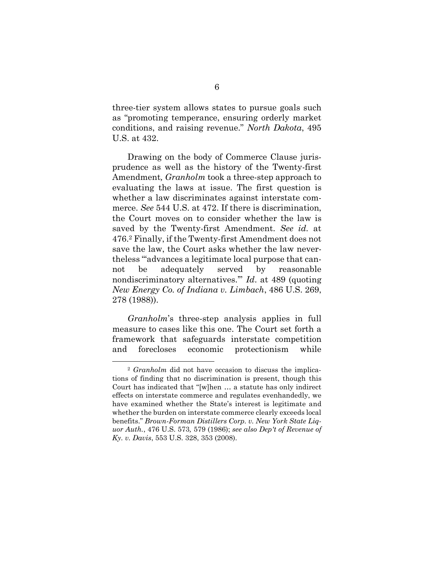three-tier system allows states to pursue goals such as "promoting temperance, ensuring orderly market conditions, and raising revenue." *North Dakota*, 495 U.S. at 432.

Drawing on the body of Commerce Clause jurisprudence as well as the history of the Twenty-first Amendment*, Granholm* took a three-step approach to evaluating the laws at issue. The first question is whether a law discriminates against interstate commerce. *See* 544 U.S. at 472. If there is discrimination, the Court moves on to consider whether the law is saved by the Twenty-first Amendment. *See id.* at 476. <sup>2</sup> Finally, if the Twenty-first Amendment does not save the law, the Court asks whether the law nevertheless "'advances a legitimate local purpose that cannot be adequately served by reasonable nondiscriminatory alternatives.'" *Id*. at 489 (quoting *New Energy Co. of Indiana v. Limbach*, 486 U.S. 269, 278 (1988)).

*Granholm*'s three-step analysis applies in full measure to cases like this one. The Court set forth a framework that safeguards interstate competition and forecloses economic protectionism while

l

<sup>2</sup> *Granholm* did not have occasion to discuss the implications of finding that no discrimination is present, though this Court has indicated that "[w]hen … a statute has only indirect effects on interstate commerce and regulates evenhandedly, we have examined whether the State's interest is legitimate and whether the burden on interstate commerce clearly exceeds local benefits." *Brown-Forman Distillers Corp. v. New York State Liquor Auth.*, 476 U.S. 573*,* 579 (1986); *see also Dep't of Revenue of Ky. v. Davis*, 553 U.S. 328, 353 (2008).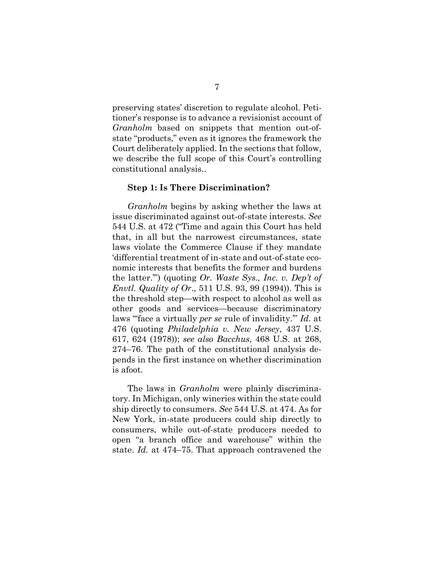preserving states' discretion to regulate alcohol. Petitioner's response is to advance a revisionist account of *Granholm* based on snippets that mention out-ofstate "products," even as it ignores the framework the Court deliberately applied. In the sections that follow, we describe the full scope of this Court's controlling constitutional analysis..

#### <span id="page-9-0"></span>**Step 1: Is There Discrimination?**

*Granholm* begins by asking whether the laws at issue discriminated against out-of-state interests. *See*  544 U.S. at 472 ("Time and again this Court has held that, in all but the narrowest circumstances, state laws violate the Commerce Clause if they mandate 'differential treatment of in-state and out-of-state economic interests that benefits the former and burdens the latter.'") (quoting *Or. Waste Sys., Inc. v. Dep't of Envtl. Quality of Or*., 511 U.S. 93, 99 (1994)). This is the threshold step—with respect to alcohol as well as other goods and services—because discriminatory laws "'face a virtually *per se* rule of invalidity.'" *Id.* at 476 (quoting *Philadelphia v. New Jersey*, 437 U.S. 617, 624 (1978)); *see also Bacchus*, 468 U.S. at 268, 274–76. The path of the constitutional analysis depends in the first instance on whether discrimination is afoot.

The laws in *Granholm* were plainly discriminatory. In Michigan, only wineries within the state could ship directly to consumers. *See* 544 U.S. at 474. As for New York, in-state producers could ship directly to consumers, while out-of-state producers needed to open "a branch office and warehouse" within the state. *Id.* at 474–75. That approach contravened the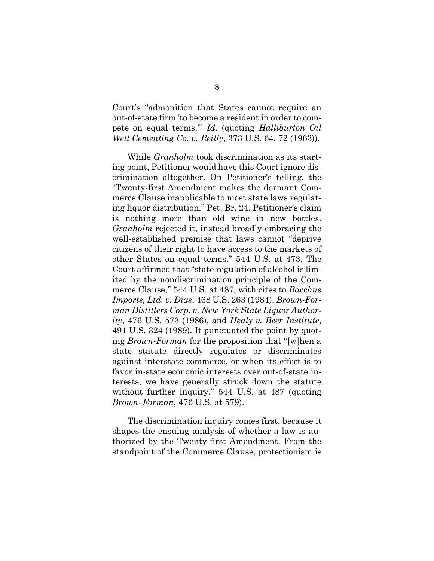Court's "admonition that States cannot require an out-of-state firm 'to become a resident in order to compete on equal terms.'" *Id.* (quoting *Halliburton Oil Well Cementing Co. v. Reilly*, 373 U.S. 64, 72 (1963)).

While *Granholm* took discrimination as its starting point, Petitioner would have this Court ignore discrimination altogether. On Petitioner's telling, the "Twenty-first Amendment makes the dormant Commerce Clause inapplicable to most state laws regulating liquor distribution." Pet. Br. 24. Petitioner's claim is nothing more than old wine in new bottles. *Granholm* rejected it, instead broadly embracing the well-established premise that laws cannot "deprive citizens of their right to have access to the markets of other States on equal terms." 544 U.S. at 473. The Court affirmed that "state regulation of alcohol is limited by the nondiscrimination principle of the Commerce Clause," 544 U.S. at 487, with cites to *Bacchus Imports, Ltd. v. Dias*, 468 U.S. 263 (1984), *Brown-Forman Distillers Corp. v. New York State Liquor Authority*, 476 U.S. 573 (1986), and *Healy v. Beer Institute*, 491 U.S. 324 (1989). It punctuated the point by quoting *Brown-Forman* for the proposition that "[w]hen a state statute directly regulates or discriminates against interstate commerce, or when its effect is to favor in-state economic interests over out-of-state interests, we have generally struck down the statute without further inquiry." 544 U.S. at 487 (quoting *Brown–Forman*, 476 U.S. at 579).

The discrimination inquiry comes first, because it shapes the ensuing analysis of whether a law is authorized by the Twenty-first Amendment. From the standpoint of the Commerce Clause, protectionism is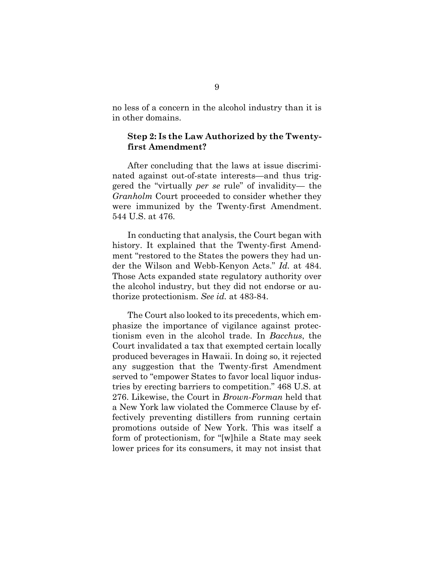no less of a concern in the alcohol industry than it is in other domains.

### <span id="page-11-0"></span>**Step 2: Is the Law Authorized by the Twentyfirst Amendment?**

After concluding that the laws at issue discriminated against out-of-state interests—and thus triggered the "virtually *per se* rule" of invalidity— the *Granholm* Court proceeded to consider whether they were immunized by the Twenty-first Amendment. 544 U.S. at 476.

In conducting that analysis, the Court began with history. It explained that the Twenty-first Amendment "restored to the States the powers they had under the Wilson and Webb-Kenyon Acts." *Id.* at 484. Those Acts expanded state regulatory authority over the alcohol industry, but they did not endorse or authorize protectionism. *See id.* at 483-84.

The Court also looked to its precedents, which emphasize the importance of vigilance against protectionism even in the alcohol trade. In *Bacchus*, the Court invalidated a tax that exempted certain locally produced beverages in Hawaii. In doing so, it rejected any suggestion that the Twenty-first Amendment served to "empower States to favor local liquor industries by erecting barriers to competition." 468 U.S. at 276. Likewise, the Court in *Brown-Forman* held that a New York law violated the Commerce Clause by effectively preventing distillers from running certain promotions outside of New York. This was itself a form of protectionism, for "[w]hile a State may seek lower prices for its consumers, it may not insist that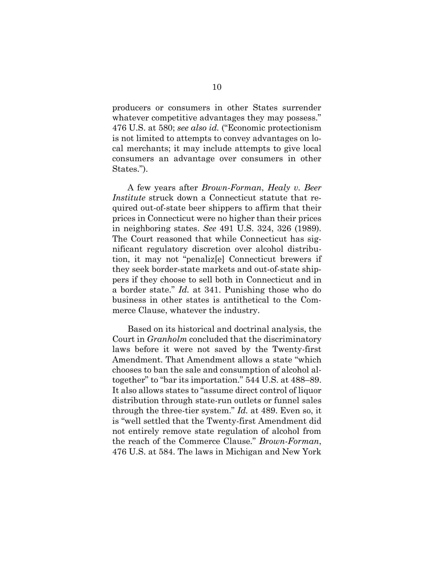producers or consumers in other States surrender whatever competitive advantages they may possess." 476 U.S. at 580; *see also id.* ("Economic protectionism is not limited to attempts to convey advantages on local merchants; it may include attempts to give local consumers an advantage over consumers in other States.").

A few years after *Brown-Forman*, *Healy v. Beer Institute* struck down a Connecticut statute that required out-of-state beer shippers to affirm that their prices in Connecticut were no higher than their prices in neighboring states. *See* 491 U.S. 324, 326 (1989). The Court reasoned that while Connecticut has significant regulatory discretion over alcohol distribution, it may not "penaliz[e] Connecticut brewers if they seek border-state markets and out-of-state shippers if they choose to sell both in Connecticut and in a border state." *Id.* at 341. Punishing those who do business in other states is antithetical to the Commerce Clause, whatever the industry.

Based on its historical and doctrinal analysis, the Court in *Granholm* concluded that the discriminatory laws before it were not saved by the Twenty-first Amendment. That Amendment allows a state "which chooses to ban the sale and consumption of alcohol altogether" to "bar its importation." 544 U.S. at 488–89. It also allows states to "assume direct control of liquor distribution through state-run outlets or funnel sales through the three-tier system." *Id.* at 489. Even so, it is "well settled that the Twenty-first Amendment did not entirely remove state regulation of alcohol from the reach of the Commerce Clause." *Brown-Forman*, 476 U.S. at 584. The laws in Michigan and New York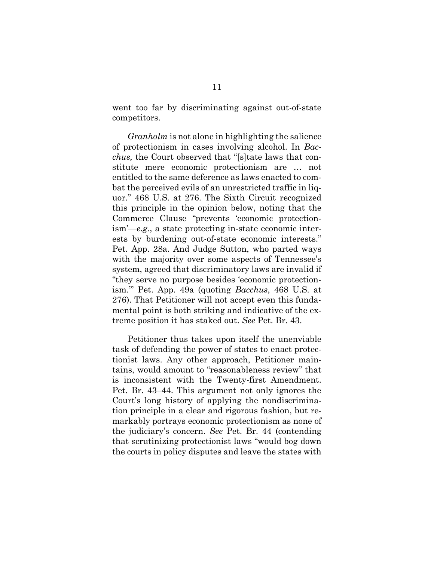went too far by discriminating against out-of-state competitors.

*Granholm* is not alone in highlighting the salience of protectionism in cases involving alcohol. In *Bacchus,* the Court observed that "[s]tate laws that constitute mere economic protectionism are … not entitled to the same deference as laws enacted to combat the perceived evils of an unrestricted traffic in liquor." 468 U.S. at 276. The Sixth Circuit recognized this principle in the opinion below, noting that the Commerce Clause "prevents 'economic protectionism'—*e.g.*, a state protecting in-state economic interests by burdening out-of-state economic interests." Pet. App. 28a. And Judge Sutton, who parted ways with the majority over some aspects of Tennessee's system, agreed that discriminatory laws are invalid if "they serve no purpose besides 'economic protectionism.'" Pet. App. 49a (quoting *Bacchus*, 468 U.S. at 276). That Petitioner will not accept even this fundamental point is both striking and indicative of the extreme position it has staked out. *See* Pet. Br. 43.

Petitioner thus takes upon itself the unenviable task of defending the power of states to enact protectionist laws. Any other approach, Petitioner maintains, would amount to "reasonableness review" that is inconsistent with the Twenty-first Amendment. Pet. Br. 43–44. This argument not only ignores the Court's long history of applying the nondiscrimination principle in a clear and rigorous fashion, but remarkably portrays economic protectionism as none of the judiciary's concern. *See* Pet. Br. 44 (contending that scrutinizing protectionist laws "would bog down the courts in policy disputes and leave the states with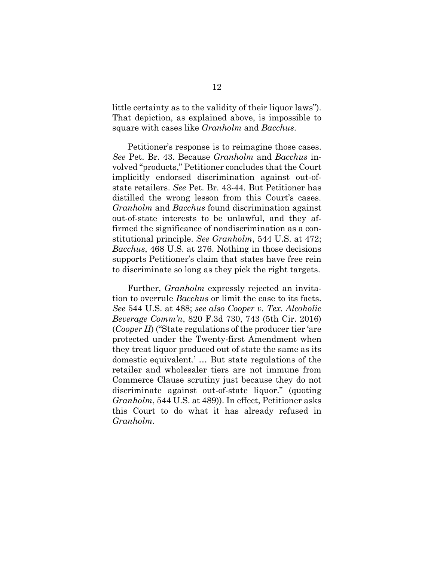little certainty as to the validity of their liquor laws"). That depiction, as explained above, is impossible to square with cases like *Granholm* and *Bacchus*.

Petitioner's response is to reimagine those cases. *See* Pet. Br. 43. Because *Granholm* and *Bacchus* involved "products," Petitioner concludes that the Court implicitly endorsed discrimination against out-ofstate retailers. *See* Pet. Br. 43-44. But Petitioner has distilled the wrong lesson from this Court's cases. *Granholm* and *Bacchus* found discrimination against out-of-state interests to be unlawful, and they affirmed the significance of nondiscrimination as a constitutional principle. *See Granholm*, 544 U.S. at 472; *Bacchus*, 468 U.S. at 276. Nothing in those decisions supports Petitioner's claim that states have free rein to discriminate so long as they pick the right targets.

Further, *Granholm* expressly rejected an invitation to overrule *Bacchus* or limit the case to its facts. *See* 544 U.S. at 488; *see also Cooper v. Tex. Alcoholic Beverage Comm'n*, 820 F.3d 730, 743 (5th Cir. 2016) (*Cooper II*) ("State regulations of the producer tier 'are protected under the Twenty-first Amendment when they treat liquor produced out of state the same as its domestic equivalent.' … But state regulations of the retailer and wholesaler tiers are not immune from Commerce Clause scrutiny just because they do not discriminate against out-of-state liquor." (quoting *Granholm*, 544 U.S. at 489)). In effect, Petitioner asks this Court to do what it has already refused in *Granholm*.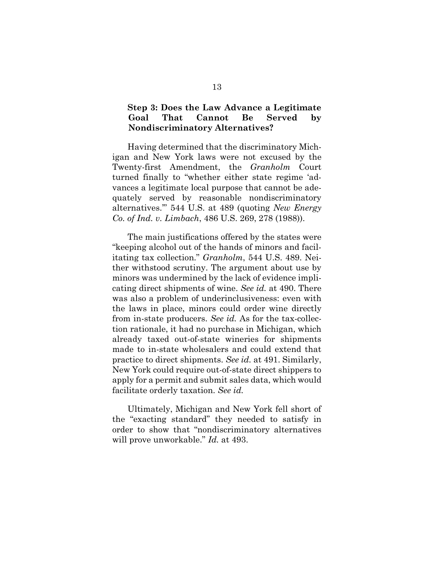### <span id="page-15-0"></span>**Step 3: Does the Law Advance a Legitimate Goal That Cannot Be Served by Nondiscriminatory Alternatives?**

Having determined that the discriminatory Michigan and New York laws were not excused by the Twenty-first Amendment, the *Granholm* Court turned finally to "whether either state regime 'advances a legitimate local purpose that cannot be adequately served by reasonable nondiscriminatory alternatives.'" 544 U.S. at 489 (quoting *New Energy Co. of Ind. v. Limbach*, 486 U.S. 269, 278 (1988)).

The main justifications offered by the states were "keeping alcohol out of the hands of minors and facilitating tax collection." *Granholm*, 544 U.S. 489. Neither withstood scrutiny. The argument about use by minors was undermined by the lack of evidence implicating direct shipments of wine. *See id.* at 490. There was also a problem of underinclusiveness: even with the laws in place, minors could order wine directly from in-state producers. *See id.* As for the tax-collection rationale, it had no purchase in Michigan, which already taxed out-of-state wineries for shipments made to in-state wholesalers and could extend that practice to direct shipments. *See id.* at 491. Similarly, New York could require out-of-state direct shippers to apply for a permit and submit sales data, which would facilitate orderly taxation. *See id.*

Ultimately, Michigan and New York fell short of the "exacting standard" they needed to satisfy in order to show that "nondiscriminatory alternatives will prove unworkable." *Id.* at 493.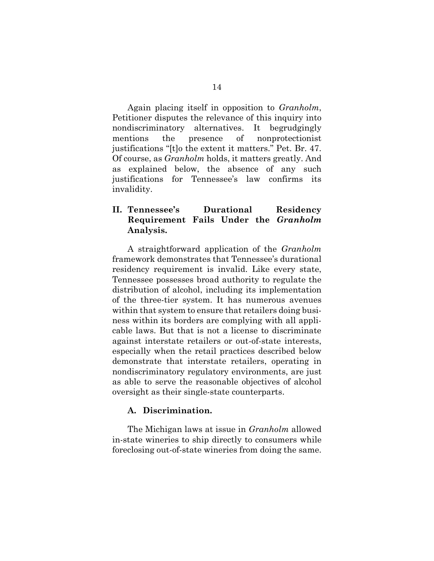Again placing itself in opposition to *Granholm*, Petitioner disputes the relevance of this inquiry into nondiscriminatory alternatives. It begrudgingly mentions the presence of nonprotectionist justifications "[t]o the extent it matters." Pet. Br. 47. Of course, as *Granholm* holds, it matters greatly. And as explained below, the absence of any such justifications for Tennessee's law confirms its invalidity.

## <span id="page-16-0"></span>**II. Tennessee's Durational Residency Requirement Fails Under the** *Granholm*  **Analysis.**

A straightforward application of the *Granholm*  framework demonstrates that Tennessee's durational residency requirement is invalid. Like every state, Tennessee possesses broad authority to regulate the distribution of alcohol, including its implementation of the three-tier system. It has numerous avenues within that system to ensure that retailers doing business within its borders are complying with all applicable laws. But that is not a license to discriminate against interstate retailers or out-of-state interests, especially when the retail practices described below demonstrate that interstate retailers, operating in nondiscriminatory regulatory environments, are just as able to serve the reasonable objectives of alcohol oversight as their single-state counterparts.

#### <span id="page-16-1"></span>**A. Discrimination.**

The Michigan laws at issue in *Granholm* allowed in-state wineries to ship directly to consumers while foreclosing out-of-state wineries from doing the same.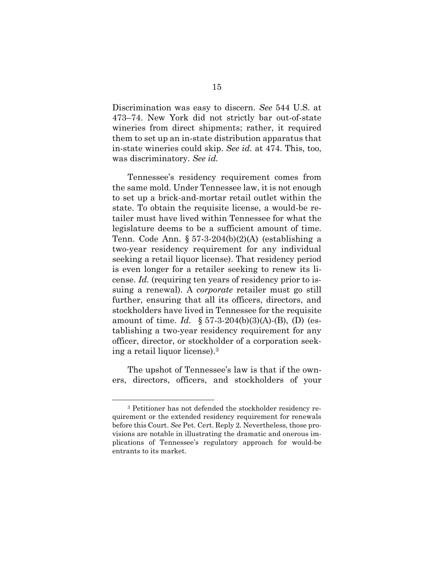Discrimination was easy to discern. *See* 544 U.S. at 473–74. New York did not strictly bar out-of-state wineries from direct shipments; rather, it required them to set up an in-state distribution apparatus that in-state wineries could skip. *See id.* at 474. This, too, was discriminatory*. See id.*

Tennessee's residency requirement comes from the same mold. Under Tennessee law, it is not enough to set up a brick-and-mortar retail outlet within the state. To obtain the requisite license, a would-be retailer must have lived within Tennessee for what the legislature deems to be a sufficient amount of time. Tenn. Code Ann.  $\S 57-3-204(b)(2)(A)$  (establishing a two-year residency requirement for any individual seeking a retail liquor license). That residency period is even longer for a retailer seeking to renew its license. *Id.* (requiring ten years of residency prior to issuing a renewal). A *corporate* retailer must go still further, ensuring that all its officers, directors, and stockholders have lived in Tennessee for the requisite amount of time. *Id.* § 57-3-204(b)(3)(A)-(B), (D) (establishing a two-year residency requirement for any officer, director, or stockholder of a corporation seeking a retail liquor license).<sup>3</sup>

The upshot of Tennessee's law is that if the owners, directors, officers, and stockholders of your

<sup>3</sup> Petitioner has not defended the stockholder residency requirement or the extended residency requirement for renewals before this Court. *See* Pet. Cert. Reply 2. Nevertheless, those provisions are notable in illustrating the dramatic and onerous implications of Tennessee's regulatory approach for would-be entrants to its market.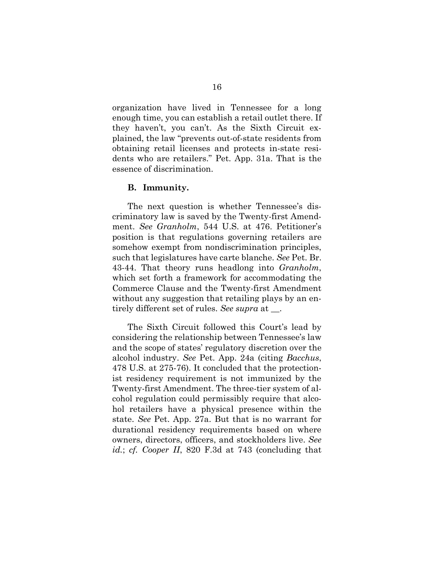organization have lived in Tennessee for a long enough time, you can establish a retail outlet there. If they haven't, you can't. As the Sixth Circuit explained, the law "prevents out-of-state residents from obtaining retail licenses and protects in-state residents who are retailers." Pet. App. 31a. That is the essence of discrimination.

#### <span id="page-18-0"></span>**B. Immunity.**

The next question is whether Tennessee's discriminatory law is saved by the Twenty-first Amendment. *See Granholm*, 544 U.S. at 476. Petitioner's position is that regulations governing retailers are somehow exempt from nondiscrimination principles, such that legislatures have carte blanche. *See* Pet. Br. 43-44. That theory runs headlong into *Granholm*, which set forth a framework for accommodating the Commerce Clause and the Twenty-first Amendment without any suggestion that retailing plays by an entirely different set of rules. *See supra* at \_\_.

The Sixth Circuit followed this Court's lead by considering the relationship between Tennessee's law and the scope of states' regulatory discretion over the alcohol industry. *See* Pet. App. 24a (citing *Bacchus*, 478 U.S. at 275-76). It concluded that the protectionist residency requirement is not immunized by the Twenty-first Amendment. The three-tier system of alcohol regulation could permissibly require that alcohol retailers have a physical presence within the state. *See* Pet. App. 27a. But that is no warrant for durational residency requirements based on where owners, directors, officers, and stockholders live. *See id.*; *cf. Cooper II*, 820 F.3d at 743 (concluding that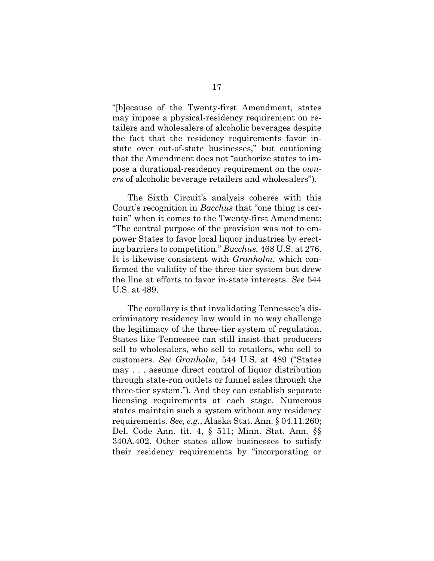"[b]ecause of the Twenty-first Amendment, states may impose a physical-residency requirement on retailers and wholesalers of alcoholic beverages despite the fact that the residency requirements favor instate over out-of-state businesses," but cautioning that the Amendment does not "authorize states to impose a durational-residency requirement on the *owners* of alcoholic beverage retailers and wholesalers").

The Sixth Circuit's analysis coheres with this Court's recognition in *Bacchus* that "one thing is certain" when it comes to the Twenty-first Amendment: "The central purpose of the provision was not to empower States to favor local liquor industries by erecting barriers to competition." *Bacchus*, 468 U.S. at 276. It is likewise consistent with *Granholm*, which confirmed the validity of the three-tier system but drew the line at efforts to favor in-state interests. *See* 544 U.S. at 489.

The corollary is that invalidating Tennessee's discriminatory residency law would in no way challenge the legitimacy of the three-tier system of regulation. States like Tennessee can still insist that producers sell to wholesalers, who sell to retailers, who sell to customers. *See Granholm*, 544 U.S. at 489 ("States may . . . assume direct control of liquor distribution through state-run outlets or funnel sales through the three-tier system."). And they can establish separate licensing requirements at each stage. Numerous states maintain such a system without any residency requirements. *See, e.g.*, Alaska Stat. Ann. § 04.11.260; Del. Code Ann. tit. 4, § 511; Minn. Stat. Ann. §§ 340A.402. Other states allow businesses to satisfy their residency requirements by "incorporating or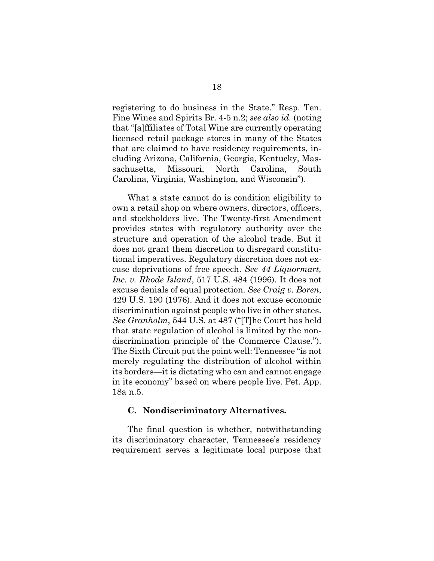registering to do business in the State." Resp. Ten. Fine Wines and Spirits Br. 4-5 n.2; *see also id.* (noting that "[a]ffiliates of Total Wine are currently operating licensed retail package stores in many of the States that are claimed to have residency requirements, including Arizona, California, Georgia, Kentucky, Massachusetts, Missouri, North Carolina, South Carolina, Virginia, Washington, and Wisconsin").

What a state cannot do is condition eligibility to own a retail shop on where owners, directors, officers, and stockholders live. The Twenty-first Amendment provides states with regulatory authority over the structure and operation of the alcohol trade. But it does not grant them discretion to disregard constitutional imperatives. Regulatory discretion does not excuse deprivations of free speech. *See 44 Liquormart, Inc. v. Rhode Island*, 517 U.S. 484 (1996). It does not excuse denials of equal protection. *See Craig v. Boren*, 429 U.S. 190 (1976). And it does not excuse economic discrimination against people who live in other states. *See Granholm*, 544 U.S. at 487 ("[T]he Court has held that state regulation of alcohol is limited by the nondiscrimination principle of the Commerce Clause."). The Sixth Circuit put the point well: Tennessee "is not merely regulating the distribution of alcohol within its borders—it is dictating who can and cannot engage in its economy" based on where people live. Pet. App. 18a n.5.

#### <span id="page-20-0"></span>**C. Nondiscriminatory Alternatives.**

The final question is whether, notwithstanding its discriminatory character, Tennessee's residency requirement serves a legitimate local purpose that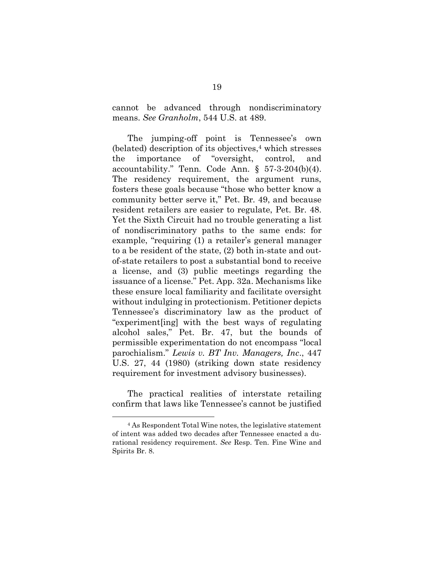cannot be advanced through nondiscriminatory means. *See Granholm*, 544 U.S. at 489.

The jumping-off point is Tennessee's own (belated) description of its objectives, <sup>4</sup> which stresses the importance of "oversight, control, and accountability." Tenn. Code Ann. § 57-3-204(b)(4). The residency requirement, the argument runs, fosters these goals because "those who better know a community better serve it," Pet. Br. 49, and because resident retailers are easier to regulate, Pet. Br. 48. Yet the Sixth Circuit had no trouble generating a list of nondiscriminatory paths to the same ends: for example, "requiring (1) a retailer's general manager to a be resident of the state, (2) both in-state and outof-state retailers to post a substantial bond to receive a license, and (3) public meetings regarding the issuance of a license." Pet. App. 32a. Mechanisms like these ensure local familiarity and facilitate oversight without indulging in protectionism. Petitioner depicts Tennessee's discriminatory law as the product of "experiment[ing] with the best ways of regulating alcohol sales," Pet. Br. 47, but the bounds of permissible experimentation do not encompass "local parochialism." *Lewis v. BT Inv. Managers, Inc*., 447 U.S. 27, 44 (1980) (striking down state residency requirement for investment advisory businesses).

The practical realities of interstate retailing confirm that laws like Tennessee's cannot be justified

<sup>4</sup> As Respondent Total Wine notes, the legislative statement of intent was added two decades after Tennessee enacted a durational residency requirement. *See* Resp. Ten. Fine Wine and Spirits Br. 8.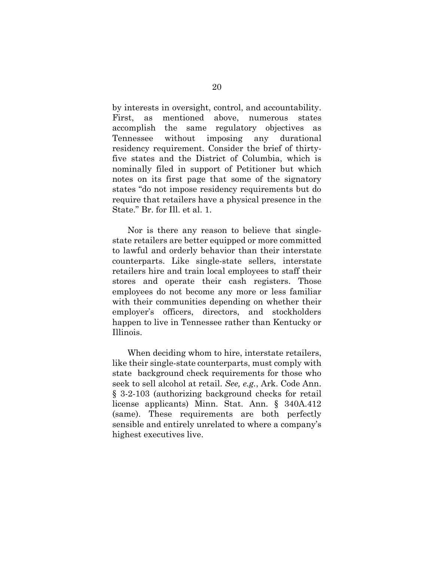by interests in oversight, control, and accountability. First, as mentioned above, numerous states accomplish the same regulatory objectives as Tennessee without imposing any durational residency requirement. Consider the brief of thirtyfive states and the District of Columbia, which is nominally filed in support of Petitioner but which notes on its first page that some of the signatory states "do not impose residency requirements but do require that retailers have a physical presence in the State." Br. for Ill. et al. 1.

Nor is there any reason to believe that singlestate retailers are better equipped or more committed to lawful and orderly behavior than their interstate counterparts. Like single-state sellers, interstate retailers hire and train local employees to staff their stores and operate their cash registers. Those employees do not become any more or less familiar with their communities depending on whether their employer's officers, directors, and stockholders happen to live in Tennessee rather than Kentucky or Illinois.

When deciding whom to hire, interstate retailers, like their single-state counterparts, must comply with state background check requirements for those who seek to sell alcohol at retail. *See, e.g.*, Ark. Code Ann. § 3-2-103 (authorizing background checks for retail license applicants) Minn. Stat. Ann. § 340A.412 (same). These requirements are both perfectly sensible and entirely unrelated to where a company's highest executives live.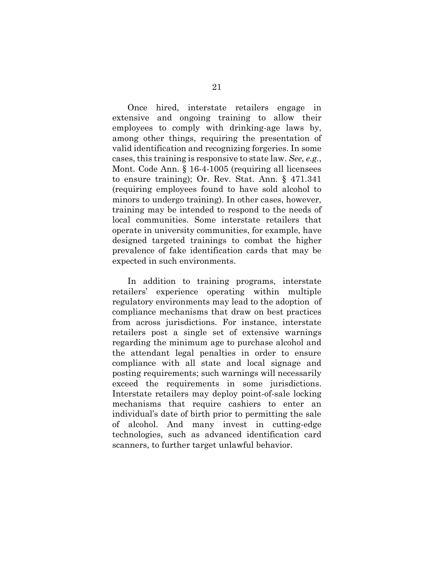Once hired, interstate retailers engage in extensive and ongoing training to allow their employees to comply with drinking-age laws by, among other things, requiring the presentation of valid identification and recognizing forgeries. In some cases, this training is responsive to state law. *See, e.g.*, Mont. Code Ann. § 16-4-1005 (requiring all licensees to ensure training); Or. Rev. Stat. Ann. § 471.341 (requiring employees found to have sold alcohol to minors to undergo training). In other cases, however, training may be intended to respond to the needs of local communities. Some interstate retailers that operate in university communities, for example, have designed targeted trainings to combat the higher prevalence of fake identification cards that may be expected in such environments.

In addition to training programs, interstate retailers' experience operating within multiple regulatory environments may lead to the adoption of compliance mechanisms that draw on best practices from across jurisdictions. For instance, interstate retailers post a single set of extensive warnings regarding the minimum age to purchase alcohol and the attendant legal penalties in order to ensure compliance with all state and local signage and posting requirements; such warnings will necessarily exceed the requirements in some jurisdictions. Interstate retailers may deploy point-of-sale locking mechanisms that require cashiers to enter an individual's date of birth prior to permitting the sale of alcohol. And many invest in cutting-edge technologies, such as advanced identification card scanners, to further target unlawful behavior.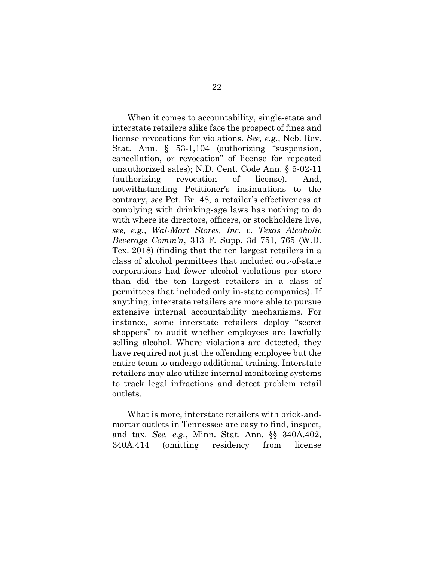When it comes to accountability, single-state and interstate retailers alike face the prospect of fines and license revocations for violations. *See, e.g.*, Neb. Rev. Stat. Ann. § 53-1,104 (authorizing "suspension, cancellation, or revocation" of license for repeated unauthorized sales); N.D. Cent. Code Ann. § 5-02-11 (authorizing revocation of license). And, notwithstanding Petitioner's insinuations to the contrary, *see* Pet. Br. 48, a retailer's effectiveness at complying with drinking-age laws has nothing to do with where its directors, officers, or stockholders live, *see, e.g.*, *Wal-Mart Stores, Inc. v. Texas Alcoholic Beverage Comm'n*, 313 F. Supp. 3d 751, 765 (W.D. Tex. 2018) (finding that the ten largest retailers in a class of alcohol permittees that included out-of-state corporations had fewer alcohol violations per store than did the ten largest retailers in a class of permittees that included only in-state companies). If anything, interstate retailers are more able to pursue extensive internal accountability mechanisms. For instance, some interstate retailers deploy "secret shoppers" to audit whether employees are lawfully selling alcohol. Where violations are detected, they have required not just the offending employee but the entire team to undergo additional training. Interstate retailers may also utilize internal monitoring systems to track legal infractions and detect problem retail outlets.

What is more, interstate retailers with brick-andmortar outlets in Tennessee are easy to find, inspect, and tax. *See, e.g.*, Minn. Stat. Ann. §§ 340A.402, 340A.414 (omitting residency from license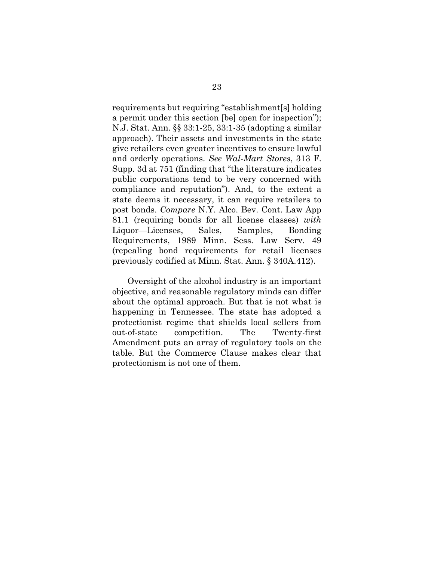requirements but requiring "establishment[s] holding a permit under this section [be] open for inspection"); N.J. Stat. Ann. §§ 33:1-25, 33:1-35 (adopting a similar approach). Their assets and investments in the state give retailers even greater incentives to ensure lawful and orderly operations. *See Wal-Mart Stores*, 313 F. Supp. 3d at 751 (finding that "the literature indicates public corporations tend to be very concerned with compliance and reputation"). And, to the extent a state deems it necessary, it can require retailers to post bonds. *Compare* N.Y. Alco. Bev. Cont. Law App 81.1 (requiring bonds for all license classes) *with*  Liquor—Licenses, Sales, Samples, Bonding Requirements, 1989 Minn. Sess. Law Serv. 49 (repealing bond requirements for retail licenses previously codified at Minn. Stat. Ann. § 340A.412).

Oversight of the alcohol industry is an important objective, and reasonable regulatory minds can differ about the optimal approach. But that is not what is happening in Tennessee. The state has adopted a protectionist regime that shields local sellers from out-of-state competition. The Twenty-first Amendment puts an array of regulatory tools on the table. But the Commerce Clause makes clear that protectionism is not one of them.